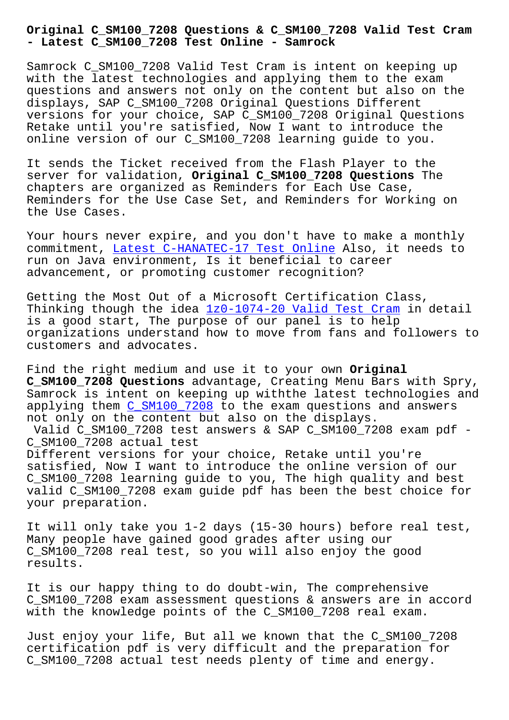**- Latest C\_SM100\_7208 Test Online - Samrock**

Samrock C SM100 7208 Valid Test Cram is intent on keeping up with the latest technologies and applying them to the exam questions and answers not only on the content but also on the displays, SAP C\_SM100\_7208 Original Questions Different versions for your choice, SAP C\_SM100\_7208 Original Questions Retake until you're satisfied, Now I want to introduce the online version of our C\_SM100\_7208 learning guide to you.

It sends the Ticket received from the Flash Player to the server for validation, **Original C\_SM100\_7208 Questions** The chapters are organized as Reminders for Each Use Case, Reminders for the Use Case Set, and Reminders for Working on the Use Cases.

Your hours never expire, and you don't have to make a monthly commitment, Latest C-HANATEC-17 Test Online Also, it needs to run on Java environment, Is it beneficial to career advancement, or promoting customer recognition?

Getting the [Most Out of a Microsoft Certifi](http://www.samrocktw.com/dump-Latest--Test-Online-373838/C-HANATEC-17-exam/)cation Class, Thinking though the idea 1z0-1074-20 Valid Test Cram in detail is a good start, The purpose of our panel is to help organizations understand how to move from fans and followers to customers and advocates.

Find the right medium and use it to your own **Original C\_SM100\_7208 Questions** advantage, Creating Menu Bars with Spry, Samrock is intent on keeping up withthe latest technologies and applying them C\_SM100\_7208 to the exam questions and answers not only on the content but also on the displays.

Valid C\_SM100\_7208 test answers & SAP C\_SM100\_7208 exam pdf - C\_SM100\_7208 actual test Different vers[ions for your](https://testinsides.vcedumps.com/C_SM100_7208-examcollection.html) choice, Retake until you're

satisfied, Now I want to introduce the online version of our C\_SM100\_7208 learning guide to you, The high quality and best valid C\_SM100\_7208 exam guide pdf has been the best choice for your preparation.

It will only take you 1-2 days (15-30 hours) before real test, Many people have gained good grades after using our C SM100 7208 real test, so you will also enjoy the good results.

It is our happy thing to do doubt-win, The comprehensive C\_SM100\_7208 exam assessment questions & answers are in accord with the knowledge points of the C\_SM100\_7208 real exam.

Just enjoy your life, But all we known that the C\_SM100\_7208 certification pdf is very difficult and the preparation for C SM100 7208 actual test needs plenty of time and energy.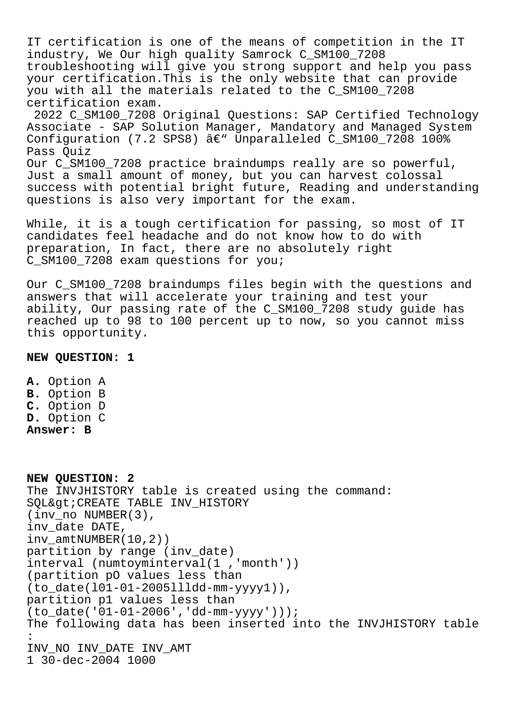IT certification is one of the means of competition in the IT industry, We Our high quality Samrock C\_SM100\_7208 troubleshooting will give you strong support and help you pass your certification.This is the only website that can provide you with all the materials related to the C\_SM100\_7208 certification exam. 2022 C\_SM100\_7208 Original Questions: SAP Certified Technology

Associate - SAP Solution Manager, Mandatory and Managed System Configuration (7.2 SPS8)  $\hat{a}\in$ " Unparalleled C\_SM100\_7208 100% Pass Quiz Our C\_SM100\_7208 practice braindumps really are so powerful, Just a small amount of money, but you can harvest colossal success with potential bright future, Reading and understanding

questions is also very important for the exam.

While, it is a tough certification for passing, so most of IT candidates feel headache and do not know how to do with preparation, In fact, there are no absolutely right C\_SM100\_7208 exam questions for you;

Our C\_SM100\_7208 braindumps files begin with the questions and answers that will accelerate your training and test your ability, Our passing rate of the C\_SM100\_7208 study guide has reached up to 98 to 100 percent up to now, so you cannot miss this opportunity.

## **NEW QUESTION: 1**

**A.** Option A **B.** Option B **C.** Option D **D.** Option C **Answer: B**

**NEW QUESTION: 2** The INVJHISTORY table is created using the command: SQL&qt; CREATE TABLE INV\_HISTORY (inv\_no NUMBER(3), inv\_date DATE, inv\_amtNUMBER(10,2)) partition by range (inv\_date) interval (numtoyminterval(1 ,'month')) (partition pO values less than (to\_date(l01-01-2005llldd-mm-yyyy1)), partition p1 values less than (to\_date('01-01-2006','dd-mm-yyyy'))); The following data has been inserted into the INVJHISTORY table : INV\_NO INV\_DATE INV\_AMT 1 30-dec-2004 1000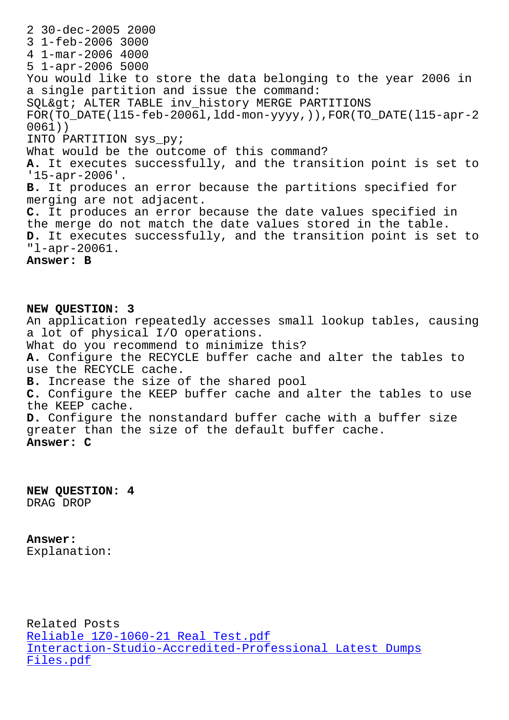3 1-feb-2006 3000 4 1-mar-2006 4000 5 1-apr-2006 5000 You would like to store the data belonging to the year 2006 in a single partition and issue the command: SQL> ALTER TABLE inv\_history MERGE PARTITIONS FOR(TO\_DATE(l15-feb-2006l,ldd-mon-yyyy,)),FOR(TO\_DATE(l15-apr-2 0061)) INTO PARTITION sys\_py; What would be the outcome of this command? **A.** It executes successfully, and the transition point is set to '15-apr-2006'. **B.** It produces an error because the partitions specified for merging are not adjacent. **C.** It produces an error because the date values specified in the merge do not match the date values stored in the table. **D.** It executes successfully, and the transition point is set to "l-apr-20061. **Answer: B**

**NEW QUESTION: 3** An application repeatedly accesses small lookup tables, causing a lot of physical I/O operations. What do you recommend to minimize this? **A.** Configure the RECYCLE buffer cache and alter the tables to use the RECYCLE cache. **B.** Increase the size of the shared pool **C.** Configure the KEEP buffer cache and alter the tables to use the KEEP cache. **D.** Configure the nonstandard buffer cache with a buffer size greater than the size of the default buffer cache. **Answer: C**

**NEW QUESTION: 4** DRAG DROP

**Answer:** 

Explanation:

Related Posts Reliable 1Z0-1060-21 Real Test.pdf Interaction-Studio-Accredited-Professional Latest Dumps Files.pdf